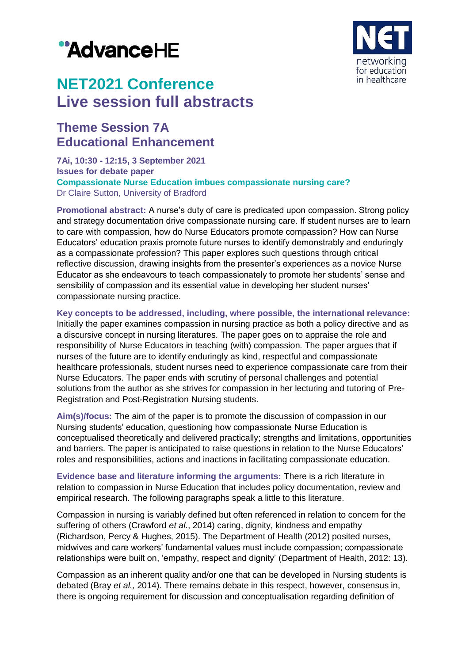# "AdvanceHE



## **NET2021 Conference Live session full abstracts**

### **Theme Session 7A Educational Enhancement**

**7Ai, 10:30 - 12:15, 3 September 2021 Issues for debate paper Compassionate Nurse Education imbues compassionate nursing care?** Dr Claire Sutton, University of Bradford

**Promotional abstract:** A nurse's duty of care is predicated upon compassion. Strong policy and strategy documentation drive compassionate nursing care. If student nurses are to learn to care with compassion, how do Nurse Educators promote compassion? How can Nurse Educators' education praxis promote future nurses to identify demonstrably and enduringly as a compassionate profession? This paper explores such questions through critical reflective discussion, drawing insights from the presenter's experiences as a novice Nurse Educator as she endeavours to teach compassionately to promote her students' sense and sensibility of compassion and its essential value in developing her student nurses' compassionate nursing practice.

**Key concepts to be addressed, including, where possible, the international relevance:**

Initially the paper examines compassion in nursing practice as both a policy directive and as a discursive concept in nursing literatures. The paper goes on to appraise the role and responsibility of Nurse Educators in teaching (with) compassion. The paper argues that if nurses of the future are to identify enduringly as kind, respectful and compassionate healthcare professionals, student nurses need to experience compassionate care from their Nurse Educators. The paper ends with scrutiny of personal challenges and potential solutions from the author as she strives for compassion in her lecturing and tutoring of Pre-Registration and Post-Registration Nursing students.

**Aim(s)/focus:** The aim of the paper is to promote the discussion of compassion in our Nursing students' education, questioning how compassionate Nurse Education is conceptualised theoretically and delivered practically; strengths and limitations, opportunities and barriers. The paper is anticipated to raise questions in relation to the Nurse Educators' roles and responsibilities, actions and inactions in facilitating compassionate education.

**Evidence base and literature informing the arguments:** There is a rich literature in relation to compassion in Nurse Education that includes policy documentation, review and empirical research. The following paragraphs speak a little to this literature.

Compassion in nursing is variably defined but often referenced in relation to concern for the suffering of others (Crawford *et al*., 2014) caring, dignity, kindness and empathy (Richardson, Percy & Hughes, 2015). The Department of Health (2012) posited nurses, midwives and care workers' fundamental values must include compassion; compassionate relationships were built on, 'empathy, respect and dignity' (Department of Health, 2012: 13).

Compassion as an inherent quality and/or one that can be developed in Nursing students is debated (Bray *et al.,* 2014). There remains debate in this respect, however, consensus in, there is ongoing requirement for discussion and conceptualisation regarding definition of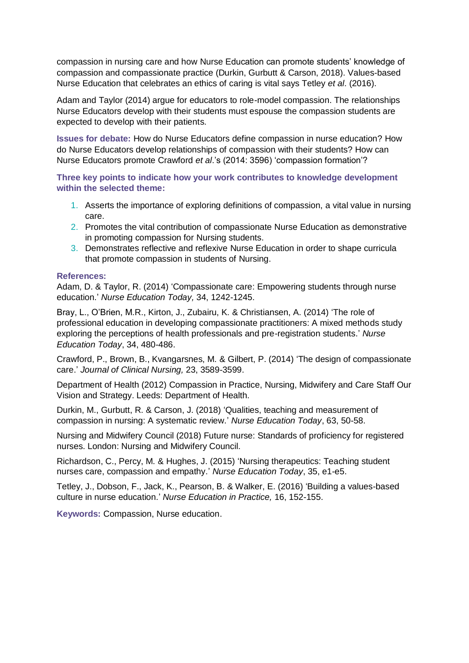compassion in nursing care and how Nurse Education can promote students' knowledge of compassion and compassionate practice (Durkin, Gurbutt & Carson, 2018). Values-based Nurse Education that celebrates an ethics of caring is vital says Tetley *et al*. (2016).

Adam and Taylor (2014) argue for educators to role-model compassion. The relationships Nurse Educators develop with their students must espouse the compassion students are expected to develop with their patients.

**Issues for debate:** How do Nurse Educators define compassion in nurse education? How do Nurse Educators develop relationships of compassion with their students? How can Nurse Educators promote Crawford *et al*.'s (2014: 3596) 'compassion formation'?

**Three key points to indicate how your work contributes to knowledge development within the selected theme:**

- 1. Asserts the importance of exploring definitions of compassion, a vital value in nursing care.
- 2. Promotes the vital contribution of compassionate Nurse Education as demonstrative in promoting compassion for Nursing students.
- 3. Demonstrates reflective and reflexive Nurse Education in order to shape curricula that promote compassion in students of Nursing.

#### **References:**

Adam, D. & Taylor, R. (2014) 'Compassionate care: Empowering students through nurse education.' *Nurse Education Today,* 34, 1242-1245.

Bray, L., O'Brien, M.R., Kirton, J., Zubairu, K. & Christiansen, A. (2014) 'The role of professional education in developing compassionate practitioners: A mixed methods study exploring the perceptions of health professionals and pre-registration students.' *Nurse Education Today*, 34, 480-486.

Crawford, P., Brown, B., Kvangarsnes, M. & Gilbert, P. (2014) 'The design of compassionate care.' *Journal of Clinical Nursing,* 23, 3589-3599.

Department of Health (2012) Compassion in Practice, Nursing, Midwifery and Care Staff Our Vision and Strategy. Leeds: Department of Health.

Durkin, M., Gurbutt, R. & Carson, J. (2018) 'Qualities, teaching and measurement of compassion in nursing: A systematic review.' *Nurse Education Today*, 63, 50-58.

Nursing and Midwifery Council (2018) Future nurse: Standards of proficiency for registered nurses. London: Nursing and Midwifery Council.

Richardson, C., Percy, M. & Hughes, J. (2015) 'Nursing therapeutics: Teaching student nurses care, compassion and empathy.' *Nurse Education Today*, 35, e1-e5.

Tetley, J., Dobson, F., Jack, K., Pearson, B. & Walker, E. (2016) 'Building a values-based culture in nurse education.' *Nurse Education in Practice,* 16, 152-155.

**Keywords:** Compassion, Nurse education.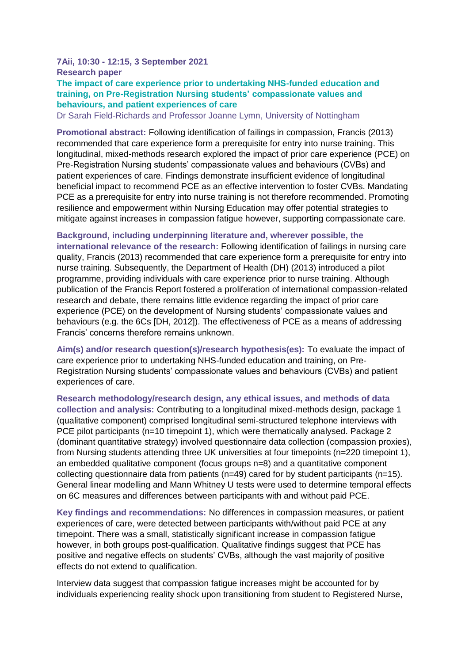#### **7Aii, 10:30 - 12:15, 3 September 2021 Research paper The impact of care experience prior to undertaking NHS-funded education and training, on Pre-Registration Nursing students' compassionate values and behaviours, and patient experiences of care**

Dr Sarah Field-Richards and Professor Joanne Lymn, University of Nottingham

**Promotional abstract:** Following identification of failings in compassion, Francis (2013) recommended that care experience form a prerequisite for entry into nurse training. This longitudinal, mixed-methods research explored the impact of prior care experience (PCE) on Pre-Registration Nursing students' compassionate values and behaviours (CVBs) and patient experiences of care. Findings demonstrate insufficient evidence of longitudinal beneficial impact to recommend PCE as an effective intervention to foster CVBs. Mandating PCE as a prerequisite for entry into nurse training is not therefore recommended. Promoting resilience and empowerment within Nursing Education may offer potential strategies to mitigate against increases in compassion fatigue however, supporting compassionate care.

#### **Background, including underpinning literature and, wherever possible, the**

**international relevance of the research:** Following identification of failings in nursing care quality, Francis (2013) recommended that care experience form a prerequisite for entry into nurse training. Subsequently, the Department of Health (DH) (2013) introduced a pilot programme, providing individuals with care experience prior to nurse training. Although publication of the Francis Report fostered a proliferation of international compassion-related research and debate, there remains little evidence regarding the impact of prior care experience (PCE) on the development of Nursing students' compassionate values and behaviours (e.g. the 6Cs [DH, 2012]). The effectiveness of PCE as a means of addressing Francis' concerns therefore remains unknown.

**Aim(s) and/or research question(s)/research hypothesis(es):** To evaluate the impact of care experience prior to undertaking NHS-funded education and training, on Pre-Registration Nursing students' compassionate values and behaviours (CVBs) and patient experiences of care.

**Research methodology/research design, any ethical issues, and methods of data collection and analysis:** Contributing to a longitudinal mixed-methods design, package 1 (qualitative component) comprised longitudinal semi-structured telephone interviews with PCE pilot participants (n=10 timepoint 1), which were thematically analysed. Package 2 (dominant quantitative strategy) involved questionnaire data collection (compassion proxies), from Nursing students attending three UK universities at four timepoints (n=220 timepoint 1), an embedded qualitative component (focus groups n=8) and a quantitative component collecting questionnaire data from patients (n=49) cared for by student participants (n=15). General linear modelling and Mann Whitney U tests were used to determine temporal effects on 6C measures and differences between participants with and without paid PCE.

**Key findings and recommendations:** No differences in compassion measures, or patient experiences of care, were detected between participants with/without paid PCE at any timepoint. There was a small, statistically significant increase in compassion fatigue however, in both groups post-qualification. Qualitative findings suggest that PCE has positive and negative effects on students' CVBs, although the vast majority of positive effects do not extend to qualification.

Interview data suggest that compassion fatigue increases might be accounted for by individuals experiencing reality shock upon transitioning from student to Registered Nurse,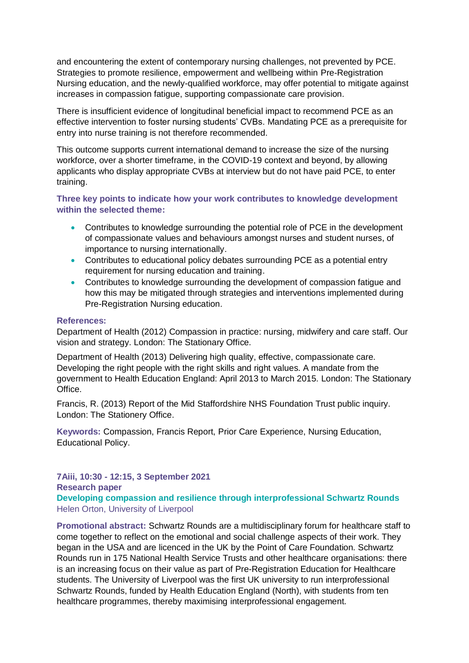and encountering the extent of contemporary nursing challenges, not prevented by PCE. Strategies to promote resilience, empowerment and wellbeing within Pre-Registration Nursing education, and the newly-qualified workforce, may offer potential to mitigate against increases in compassion fatigue, supporting compassionate care provision.

There is insufficient evidence of longitudinal beneficial impact to recommend PCE as an effective intervention to foster nursing students' CVBs. Mandating PCE as a prerequisite for entry into nurse training is not therefore recommended.

This outcome supports current international demand to increase the size of the nursing workforce, over a shorter timeframe, in the COVID-19 context and beyond, by allowing applicants who display appropriate CVBs at interview but do not have paid PCE, to enter training.

**Three key points to indicate how your work contributes to knowledge development within the selected theme:**

- Contributes to knowledge surrounding the potential role of PCE in the development of compassionate values and behaviours amongst nurses and student nurses, of importance to nursing internationally.
- Contributes to educational policy debates surrounding PCE as a potential entry requirement for nursing education and training.
- Contributes to knowledge surrounding the development of compassion fatigue and how this may be mitigated through strategies and interventions implemented during Pre-Registration Nursing education.

#### **References:**

Department of Health (2012) Compassion in practice: nursing, midwifery and care staff. Our vision and strategy. London: The Stationary Office.

Department of Health (2013) Delivering high quality, effective, compassionate care. Developing the right people with the right skills and right values. A mandate from the government to Health Education England: April 2013 to March 2015. London: The Stationary Office.

Francis, R. (2013) Report of the Mid Staffordshire NHS Foundation Trust public inquiry. London: The Stationery Office.

**Keywords:** Compassion, Francis Report, Prior Care Experience, Nursing Education, Educational Policy.

**7Aiii, 10:30 - 12:15, 3 September 2021 Research paper Developing compassion and resilience through interprofessional Schwartz Rounds** Helen Orton, University of Liverpool

**Promotional abstract:** Schwartz Rounds are a multidisciplinary forum for healthcare staff to come together to reflect on the emotional and social challenge aspects of their work. They began in the USA and are licenced in the UK by the Point of Care Foundation. Schwartz Rounds run in 175 National Health Service Trusts and other healthcare organisations: there is an increasing focus on their value as part of Pre-Registration Education for Healthcare students. The University of Liverpool was the first UK university to run interprofessional Schwartz Rounds, funded by Health Education England (North), with students from ten healthcare programmes, thereby maximising interprofessional engagement.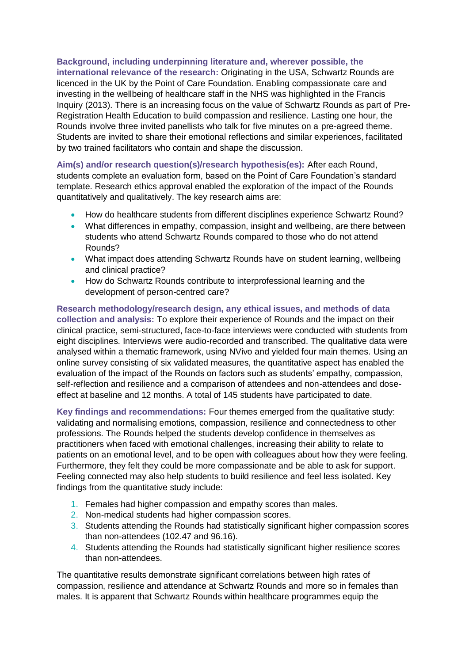**Background, including underpinning literature and, wherever possible, the international relevance of the research:** Originating in the USA, Schwartz Rounds are licenced in the UK by the Point of Care Foundation. Enabling compassionate care and investing in the wellbeing of healthcare staff in the NHS was highlighted in the Francis Inquiry (2013). There is an increasing focus on the value of Schwartz Rounds as part of Pre-Registration Health Education to build compassion and resilience. Lasting one hour, the Rounds involve three invited panellists who talk for five minutes on a pre-agreed theme. Students are invited to share their emotional reflections and similar experiences, facilitated by two trained facilitators who contain and shape the discussion.

**Aim(s) and/or research question(s)/research hypothesis(es):** After each Round, students complete an evaluation form, based on the Point of Care Foundation's standard template. Research ethics approval enabled the exploration of the impact of the Rounds quantitatively and qualitatively. The key research aims are:

- How do healthcare students from different disciplines experience Schwartz Round?
- What differences in empathy, compassion, insight and wellbeing, are there between students who attend Schwartz Rounds compared to those who do not attend Rounds?
- What impact does attending Schwartz Rounds have on student learning, wellbeing and clinical practice?
- How do Schwartz Rounds contribute to interprofessional learning and the development of person-centred care?

**Research methodology/research design, any ethical issues, and methods of data collection and analysis:** To explore their experience of Rounds and the impact on their clinical practice, semi-structured, face-to-face interviews were conducted with students from eight disciplines. Interviews were audio-recorded and transcribed. The qualitative data were analysed within a thematic framework, using NVivo and yielded four main themes. Using an online survey consisting of six validated measures, the quantitative aspect has enabled the evaluation of the impact of the Rounds on factors such as students' empathy, compassion, self-reflection and resilience and a comparison of attendees and non-attendees and doseeffect at baseline and 12 months. A total of 145 students have participated to date.

**Key findings and recommendations:** Four themes emerged from the qualitative study: validating and normalising emotions, compassion, resilience and connectedness to other professions. The Rounds helped the students develop confidence in themselves as practitioners when faced with emotional challenges, increasing their ability to relate to patients on an emotional level, and to be open with colleagues about how they were feeling. Furthermore, they felt they could be more compassionate and be able to ask for support. Feeling connected may also help students to build resilience and feel less isolated. Key findings from the quantitative study include:

- 1. Females had higher compassion and empathy scores than males.
- 2. Non-medical students had higher compassion scores.
- 3. Students attending the Rounds had statistically significant higher compassion scores than non-attendees (102.47 and 96.16).
- 4. Students attending the Rounds had statistically significant higher resilience scores than non-attendees.

The quantitative results demonstrate significant correlations between high rates of compassion, resilience and attendance at Schwartz Rounds and more so in females than males. It is apparent that Schwartz Rounds within healthcare programmes equip the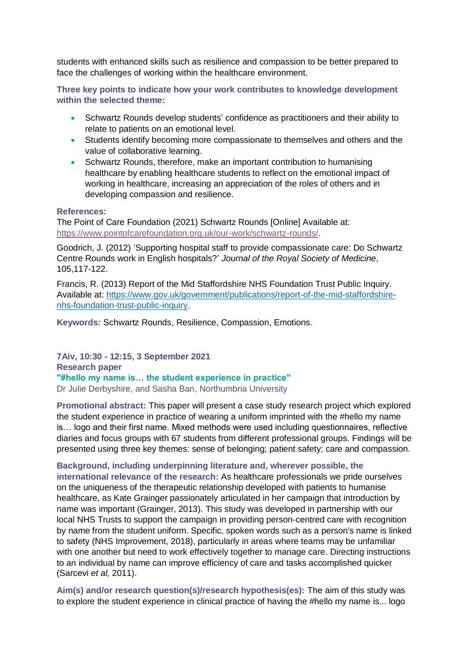students with enhanced skills such as resilience and compassion to be better prepared to face the challenges of working within the healthcare environment.

**Three key points to indicate how your work contributes to knowledge development within the selected theme:**

- Schwartz Rounds develop students' confidence as practitioners and their ability to relate to patients on an emotional level.
- Students identify becoming more compassionate to themselves and others and the value of collaborative learning.
- Schwartz Rounds, therefore, make an important contribution to humanising healthcare by enabling healthcare students to reflect on the emotional impact of working in healthcare, increasing an appreciation of the roles of others and in developing compassion and resilience.

#### **References:**

The Point of Care Foundation (2021) Schwartz Rounds [Online] Available at: [https://www.pointofcarefoundation.org.uk/our-work/schwartz-rounds/.](https://www.pointofcarefoundation.org.uk/our-work/schwartz-rounds/)

Goodrich, J. (2012) 'Supporting hospital staff to provide compassionate care: Do Schwartz Centre Rounds work in English hospitals?' *Journal of the Royal Society of Medicine*, 105,117-122.

Francis, R. (2013) Report of the Mid Staffordshire NHS Foundation Trust Public Inquiry. Available at: [https://www.gov.uk/government/publications/report-of-the-mid-staffordshire](https://www.gov.uk/government/publications/report-of-the-mid-staffordshire-nhs-foundation-trust-public-inquiry)[nhs-foundation-trust-public-inquiry.](https://www.gov.uk/government/publications/report-of-the-mid-staffordshire-nhs-foundation-trust-public-inquiry)

**Keywords:** Schwartz Rounds, Resilience, Compassion, Emotions.

**7Aiv, 10:30 - 12:15, 3 September 2021 Research paper "#hello my name is… the student experience in practice"** Dr Julie Derbyshire, and Sasha Ban, Northumbria University

**Promotional abstract:** This paper will present a case study research project which explored the student experience in practice of wearing a uniform imprinted with the #hello my name is… logo and their first name. Mixed methods were used including questionnaires, reflective diaries and focus groups with 67 students from different professional groups. Findings will be presented using three key themes: sense of belonging; patient safety; care and compassion.

**Background, including underpinning literature and, wherever possible, the international relevance of the research:** As healthcare professionals we pride ourselves on the uniqueness of the therapeutic relationship developed with patients to humanise healthcare, as Kate Grainger passionately articulated in her campaign that introduction by name was important (Grainger, 2013). This study was developed in partnership with our local NHS Trusts to support the campaign in providing person-centred care with recognition by name from the student uniform. Specific, spoken words such as a person's name is linked to safety (NHS Improvement, 2018), particularly in areas where teams may be unfamiliar with one another but need to work effectively together to manage care. Directing instructions to an individual by name can improve efficiency of care and tasks accomplished quicker (Sarcevi *et al,* 2011).

**Aim(s) and/or research question(s)/research hypothesis(es):** The aim of this study was to explore the student experience in clinical practice of having the #hello my name is... logo